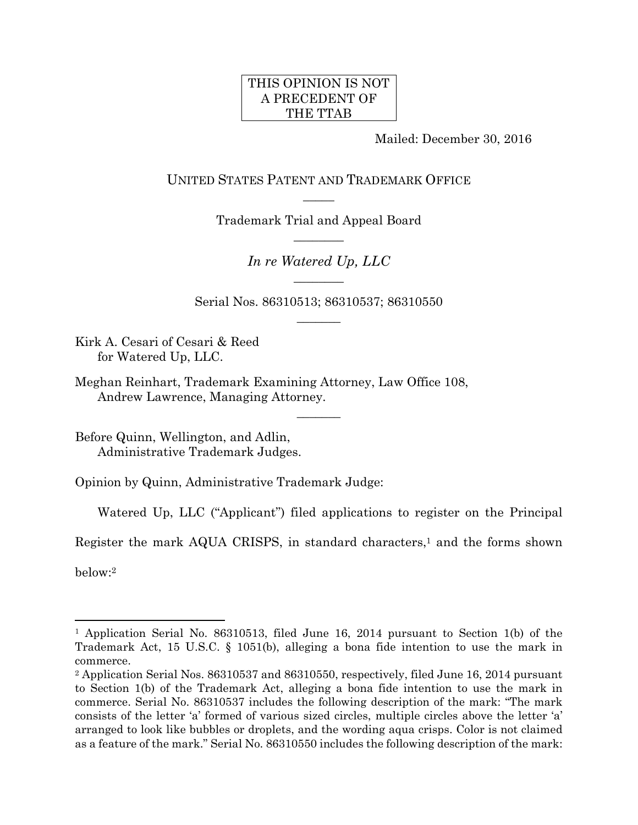# THIS OPINION IS NOT A PRECEDENT OF THE TTAB

Mailed: December 30, 2016

UNITED STATES PATENT AND TRADEMARK OFFICE  $\overline{\phantom{a}}$ 

> Trademark Trial and Appeal Board  $\overline{\phantom{a}}$

> > *In re Watered Up, LLC*   $\overline{\phantom{a}}$

Serial Nos. 86310513; 86310537; 86310550  $\overline{\phantom{a}}$ 

 $\overline{\phantom{a}}$ 

Kirk A. Cesari of Cesari & Reed for Watered Up, LLC.

Meghan Reinhart, Trademark Examining Attorney, Law Office 108, Andrew Lawrence, Managing Attorney.

Before Quinn, Wellington, and Adlin, Administrative Trademark Judges.

Opinion by Quinn, Administrative Trademark Judge:

Watered Up, LLC ("Applicant") filed applications to register on the Principal

Register the mark AQUA CRISPS, in standard characters,<sup>1</sup> and the forms shown

below:2

 $\overline{a}$ 

<sup>1</sup> Application Serial No. 86310513, filed June 16, 2014 pursuant to Section 1(b) of the Trademark Act, 15 U.S.C. § 1051(b), alleging a bona fide intention to use the mark in commerce.

<sup>2</sup> Application Serial Nos. 86310537 and 86310550, respectively, filed June 16, 2014 pursuant to Section 1(b) of the Trademark Act, alleging a bona fide intention to use the mark in commerce. Serial No. 86310537 includes the following description of the mark: "The mark consists of the letter 'a' formed of various sized circles, multiple circles above the letter 'a' arranged to look like bubbles or droplets, and the wording aqua crisps. Color is not claimed as a feature of the mark." Serial No. 86310550 includes the following description of the mark: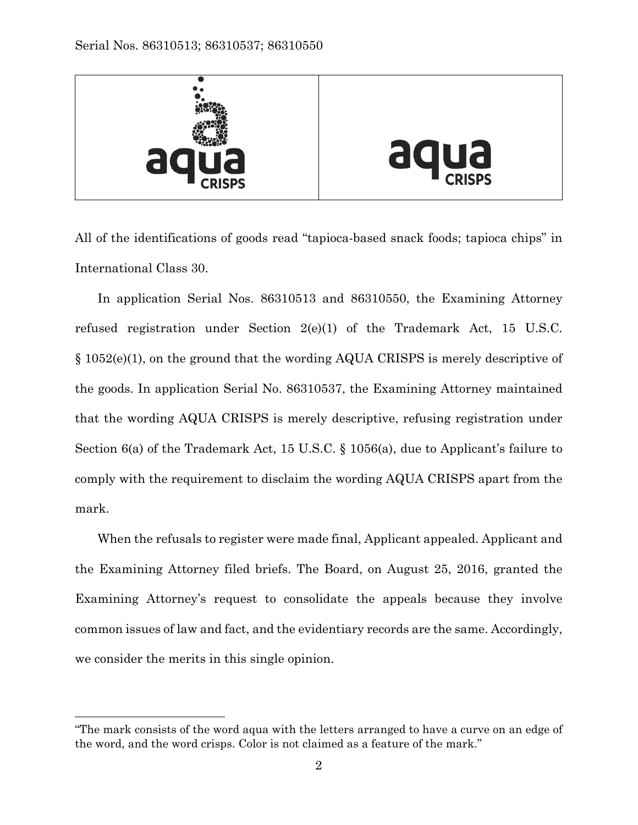

All of the identifications of goods read "tapioca-based snack foods; tapioca chips" in International Class 30.

In application Serial Nos. 86310513 and 86310550, the Examining Attorney refused registration under Section 2(e)(1) of the Trademark Act, 15 U.S.C. § 1052(e)(1), on the ground that the wording AQUA CRISPS is merely descriptive of the goods. In application Serial No. 86310537, the Examining Attorney maintained that the wording AQUA CRISPS is merely descriptive, refusing registration under Section 6(a) of the Trademark Act, 15 U.S.C. § 1056(a), due to Applicant's failure to comply with the requirement to disclaim the wording AQUA CRISPS apart from the mark.

When the refusals to register were made final, Applicant appealed. Applicant and the Examining Attorney filed briefs. The Board, on August 25, 2016, granted the Examining Attorney's request to consolidate the appeals because they involve common issues of law and fact, and the evidentiary records are the same. Accordingly, we consider the merits in this single opinion.

 $\overline{a}$ 

<sup>&</sup>quot;The mark consists of the word aqua with the letters arranged to have a curve on an edge of the word, and the word crisps. Color is not claimed as a feature of the mark."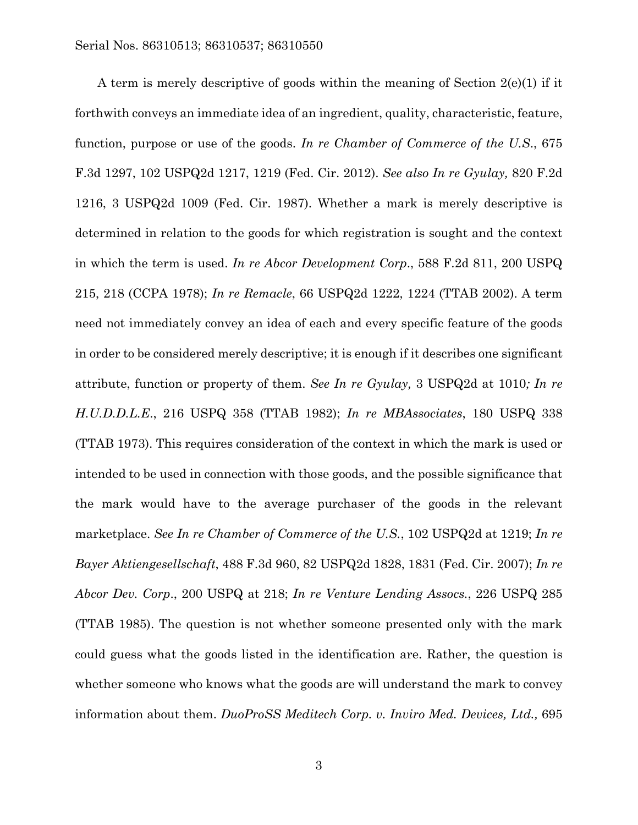A term is merely descriptive of goods within the meaning of Section 2(e)(1) if it forthwith conveys an immediate idea of an ingredient, quality, characteristic, feature, function, purpose or use of the goods. *In re Chamber of Commerce of the U.S*., 675 F.3d 1297, 102 USPQ2d 1217, 1219 (Fed. Cir. 2012). *See also In re Gyulay,* 820 F.2d 1216, 3 USPQ2d 1009 (Fed. Cir. 1987). Whether a mark is merely descriptive is determined in relation to the goods for which registration is sought and the context in which the term is used. *In re Abcor Development Corp*., 588 F.2d 811, 200 USPQ 215, 218 (CCPA 1978); *In re Remacle*, 66 USPQ2d 1222, 1224 (TTAB 2002). A term need not immediately convey an idea of each and every specific feature of the goods in order to be considered merely descriptive; it is enough if it describes one significant attribute, function or property of them. *See In re Gyulay,* 3 USPQ2d at 1010*; In re H.U.D.D.L.E*., 216 USPQ 358 (TTAB 1982); *In re MBAssociates*, 180 USPQ 338 (TTAB 1973). This requires consideration of the context in which the mark is used or intended to be used in connection with those goods, and the possible significance that the mark would have to the average purchaser of the goods in the relevant marketplace. *See In re Chamber of Commerce of the U.S.*, 102 USPQ2d at 1219; *In re Bayer Aktiengesellschaft*, 488 F.3d 960, 82 USPQ2d 1828, 1831 (Fed. Cir. 2007); *In re Abcor Dev. Corp*., 200 USPQ at 218; *In re Venture Lending Assocs.*, 226 USPQ 285 (TTAB 1985). The question is not whether someone presented only with the mark could guess what the goods listed in the identification are. Rather, the question is whether someone who knows what the goods are will understand the mark to convey information about them. *DuoProSS Meditech Corp. v. Inviro Med. Devices, Ltd.,* 695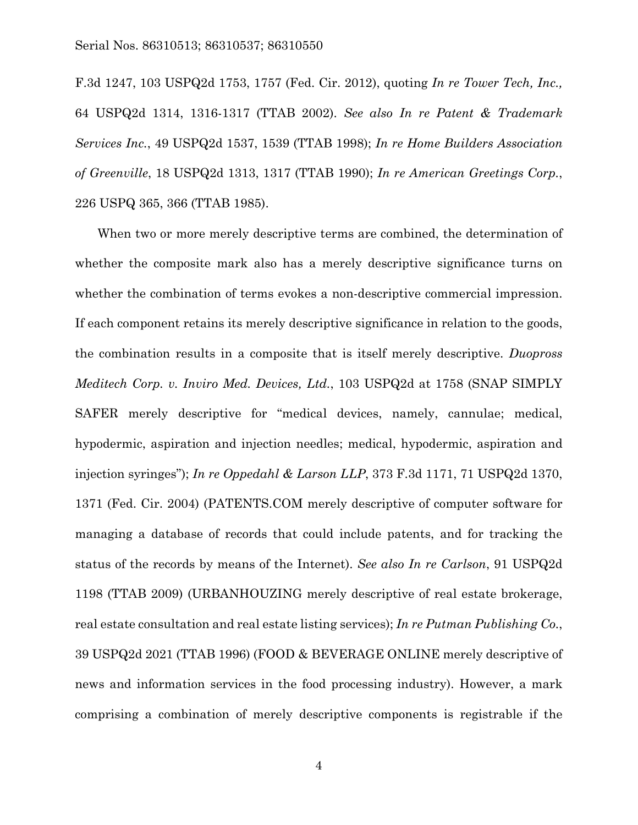#### Serial Nos. 86310513; 86310537; 86310550

F.3d 1247, 103 USPQ2d 1753, 1757 (Fed. Cir. 2012), quoting *In re Tower Tech, Inc.,* 64 USPQ2d 1314, 1316-1317 (TTAB 2002). *See also In re Patent & Trademark Services Inc.*, 49 USPQ2d 1537, 1539 (TTAB 1998); *In re Home Builders Association of Greenville*, 18 USPQ2d 1313, 1317 (TTAB 1990); *In re American Greetings Corp.*, 226 USPQ 365, 366 (TTAB 1985).

When two or more merely descriptive terms are combined, the determination of whether the composite mark also has a merely descriptive significance turns on whether the combination of terms evokes a non-descriptive commercial impression. If each component retains its merely descriptive significance in relation to the goods, the combination results in a composite that is itself merely descriptive. *Duopross Meditech Corp. v. Inviro Med. Devices, Ltd.*, 103 USPQ2d at 1758 (SNAP SIMPLY SAFER merely descriptive for "medical devices, namely, cannulae; medical, hypodermic, aspiration and injection needles; medical, hypodermic, aspiration and injection syringes"); *In re Oppedahl & Larson LLP*, 373 F.3d 1171, 71 USPQ2d 1370, 1371 (Fed. Cir. 2004) (PATENTS.COM merely descriptive of computer software for managing a database of records that could include patents, and for tracking the status of the records by means of the Internet). *See also In re Carlson*, 91 USPQ2d 1198 (TTAB 2009) (URBANHOUZING merely descriptive of real estate brokerage, real estate consultation and real estate listing services); *In re Putman Publishing Co.*, 39 USPQ2d 2021 (TTAB 1996) (FOOD & BEVERAGE ONLINE merely descriptive of news and information services in the food processing industry). However, a mark comprising a combination of merely descriptive components is registrable if the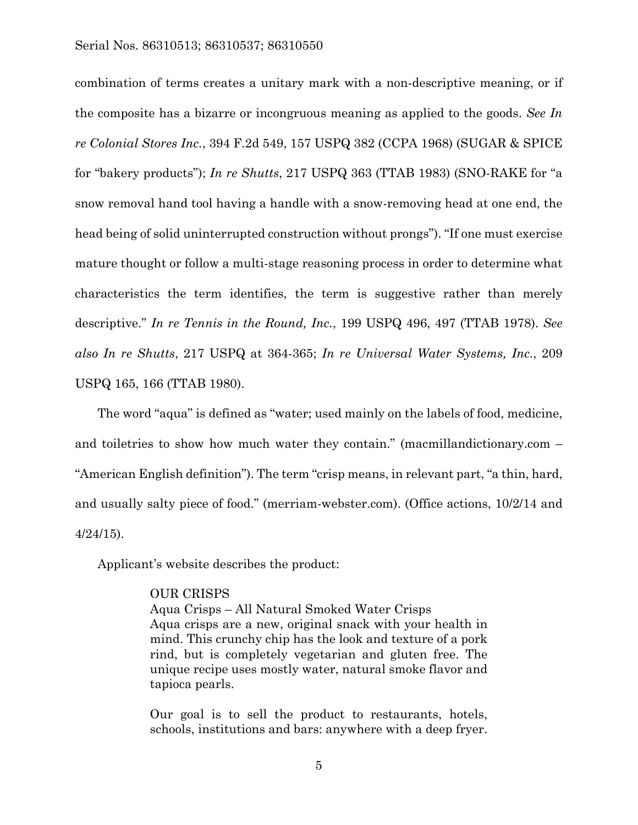### Serial Nos. 86310513; 86310537; 86310550

combination of terms creates a unitary mark with a non-descriptive meaning, or if the composite has a bizarre or incongruous meaning as applied to the goods. *See In re Colonial Stores Inc.*, 394 F.2d 549, 157 USPQ 382 (CCPA 1968) (SUGAR & SPICE for "bakery products"); *In re Shutts*, 217 USPQ 363 (TTAB 1983) (SNO-RAKE for "a snow removal hand tool having a handle with a snow-removing head at one end, the head being of solid uninterrupted construction without prongs"). "If one must exercise mature thought or follow a multi-stage reasoning process in order to determine what characteristics the term identifies, the term is suggestive rather than merely descriptive." *In re Tennis in the Round, Inc.*, 199 USPQ 496, 497 (TTAB 1978). *See also In re Shutts*, 217 USPQ at 364-365; *In re Universal Water Systems, Inc.*, 209 USPQ 165, 166 (TTAB 1980).

The word "aqua" is defined as "water; used mainly on the labels of food, medicine, and toiletries to show how much water they contain." (macmillandictionary.com – "American English definition"). The term "crisp means, in relevant part, "a thin, hard, and usually salty piece of food." (merriam-webster.com). (Office actions, 10/2/14 and 4/24/15).

Applicant's website describes the product:

## OUR CRISPS

Aqua Crisps – All Natural Smoked Water Crisps Aqua crisps are a new, original snack with your health in mind. This crunchy chip has the look and texture of a pork rind, but is completely vegetarian and gluten free. The unique recipe uses mostly water, natural smoke flavor and tapioca pearls.

Our goal is to sell the product to restaurants, hotels, schools, institutions and bars: anywhere with a deep fryer.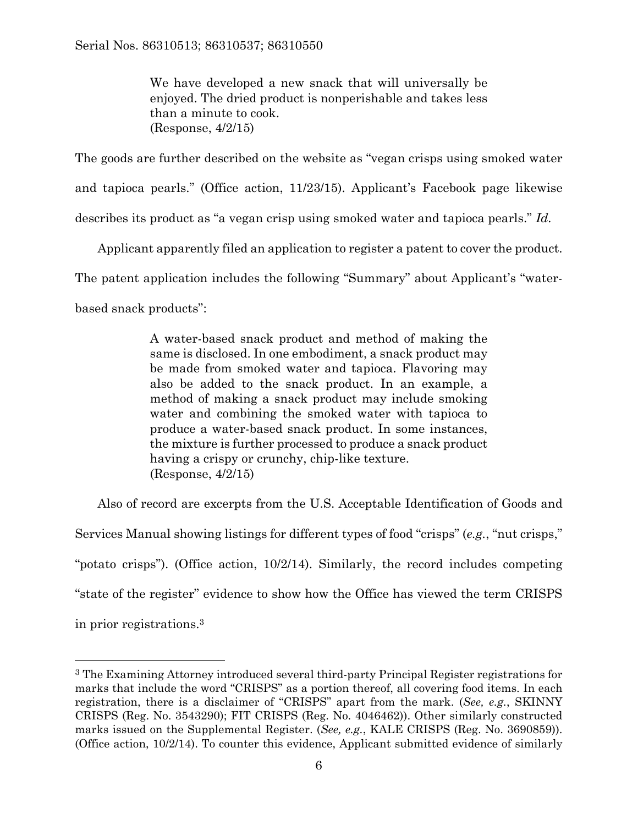We have developed a new snack that will universally be enjoyed. The dried product is nonperishable and takes less than a minute to cook. (Response, 4/2/15)

The goods are further described on the website as "vegan crisps using smoked water

and tapioca pearls." (Office action, 11/23/15). Applicant's Facebook page likewise

describes its product as "a vegan crisp using smoked water and tapioca pearls." *Id.*

Applicant apparently filed an application to register a patent to cover the product.

The patent application includes the following "Summary" about Applicant's "water-

based snack products":

A water-based snack product and method of making the same is disclosed. In one embodiment, a snack product may be made from smoked water and tapioca. Flavoring may also be added to the snack product. In an example, a method of making a snack product may include smoking water and combining the smoked water with tapioca to produce a water-based snack product. In some instances, the mixture is further processed to produce a snack product having a crispy or crunchy, chip-like texture. (Response, 4/2/15)

Also of record are excerpts from the U.S. Acceptable Identification of Goods and Services Manual showing listings for different types of food "crisps" (*e.g.*, "nut crisps," "potato crisps"). (Office action, 10/2/14). Similarly, the record includes competing "state of the register" evidence to show how the Office has viewed the term CRISPS

in prior registrations.3

 $\overline{a}$ 

<sup>3</sup> The Examining Attorney introduced several third-party Principal Register registrations for marks that include the word "CRISPS" as a portion thereof, all covering food items. In each registration, there is a disclaimer of "CRISPS" apart from the mark. (*See, e.g.*, SKINNY CRISPS (Reg. No. 3543290); FIT CRISPS (Reg. No. 4046462)). Other similarly constructed marks issued on the Supplemental Register. (*See, e.g.*, KALE CRISPS (Reg. No. 3690859)). (Office action, 10/2/14). To counter this evidence, Applicant submitted evidence of similarly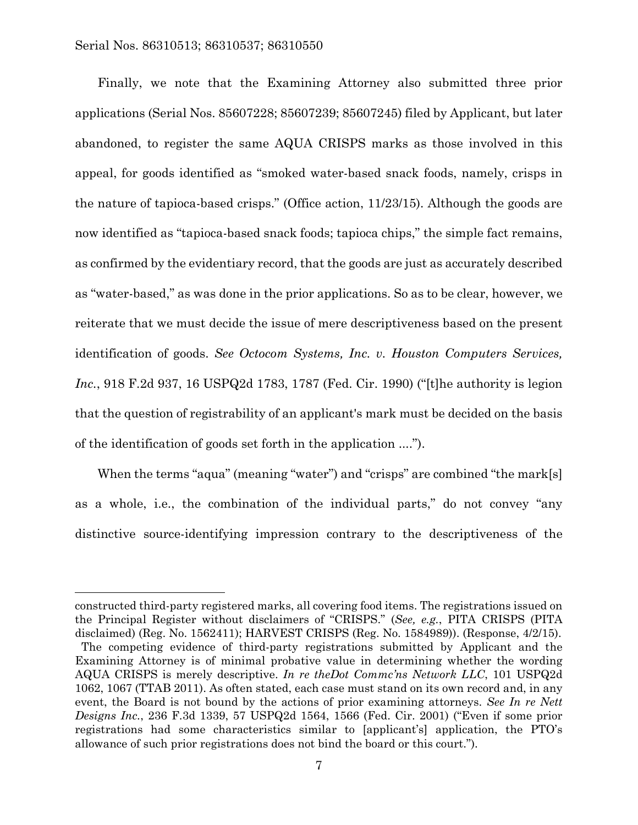l

Finally, we note that the Examining Attorney also submitted three prior applications (Serial Nos. 85607228; 85607239; 85607245) filed by Applicant, but later abandoned, to register the same AQUA CRISPS marks as those involved in this appeal, for goods identified as "smoked water-based snack foods, namely, crisps in the nature of tapioca-based crisps." (Office action, 11/23/15). Although the goods are now identified as "tapioca-based snack foods; tapioca chips," the simple fact remains, as confirmed by the evidentiary record, that the goods are just as accurately described as "water-based," as was done in the prior applications. So as to be clear, however, we reiterate that we must decide the issue of mere descriptiveness based on the present identification of goods. *See Octocom Systems, Inc. v. Houston Computers Services, Inc.*, 918 F.2d 937, 16 USPQ2d 1783, 1787 (Fed. Cir. 1990) ("[t]he authority is legion that the question of registrability of an applicant's mark must be decided on the basis of the identification of goods set forth in the application ....").

When the terms "aqua" (meaning "water") and "crisps" are combined "the mark[s] as a whole, i.e., the combination of the individual parts," do not convey "any distinctive source-identifying impression contrary to the descriptiveness of the

constructed third-party registered marks, all covering food items. The registrations issued on the Principal Register without disclaimers of "CRISPS." (*See, e.g.*, PITA CRISPS (PITA disclaimed) (Reg. No. 1562411); HARVEST CRISPS (Reg. No. 1584989)). (Response, 4/2/15). The competing evidence of third-party registrations submitted by Applicant and the Examining Attorney is of minimal probative value in determining whether the wording AQUA CRISPS is merely descriptive. *In re theDot Commc'ns Network LLC*, 101 USPQ2d 1062, 1067 (TTAB 2011). As often stated, each case must stand on its own record and, in any event, the Board is not bound by the actions of prior examining attorneys. *See In re Nett Designs Inc.*, 236 F.3d 1339, 57 USPQ2d 1564, 1566 (Fed. Cir. 2001) ("Even if some prior registrations had some characteristics similar to [applicant's] application, the PTO's allowance of such prior registrations does not bind the board or this court.").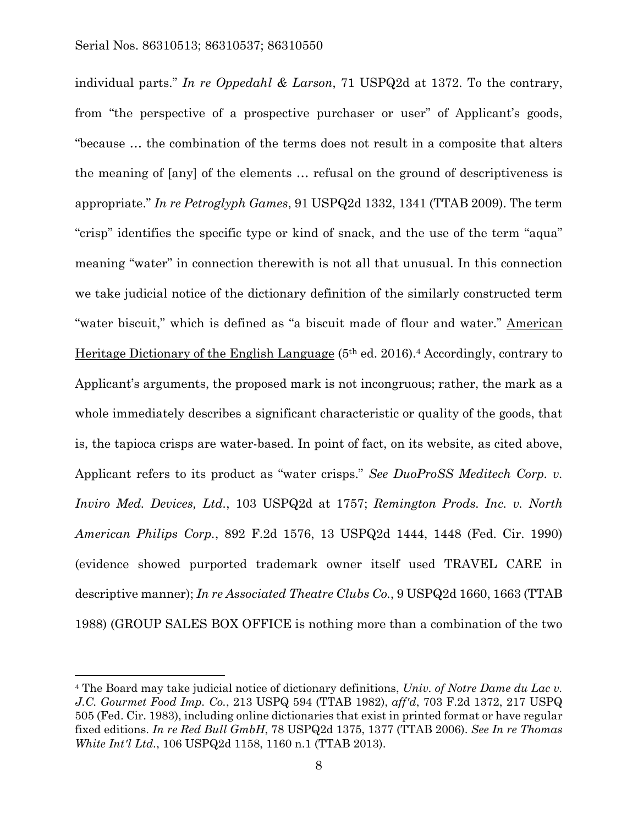$\overline{a}$ 

individual parts." *In re Oppedahl & Larson*, 71 USPQ2d at 1372. To the contrary, from "the perspective of a prospective purchaser or user" of Applicant's goods, "because … the combination of the terms does not result in a composite that alters the meaning of [any] of the elements … refusal on the ground of descriptiveness is appropriate." *In re Petroglyph Games*, 91 USPQ2d 1332, 1341 (TTAB 2009). The term "crisp" identifies the specific type or kind of snack, and the use of the term "aqua" meaning "water" in connection therewith is not all that unusual. In this connection we take judicial notice of the dictionary definition of the similarly constructed term "water biscuit," which is defined as "a biscuit made of flour and water." American Heritage Dictionary of the English Language (5th ed. 2016).4 Accordingly, contrary to Applicant's arguments, the proposed mark is not incongruous; rather, the mark as a whole immediately describes a significant characteristic or quality of the goods, that is, the tapioca crisps are water-based. In point of fact, on its website, as cited above, Applicant refers to its product as "water crisps." *See DuoProSS Meditech Corp. v. Inviro Med. Devices, Ltd.*, 103 USPQ2d at 1757; *Remington Prods. Inc. v. North American Philips Corp.*, 892 F.2d 1576, 13 USPQ2d 1444, 1448 (Fed. Cir. 1990) (evidence showed purported trademark owner itself used TRAVEL CARE in descriptive manner); *In re Associated Theatre Clubs Co.*, 9 USPQ2d 1660, 1663 (TTAB 1988) (GROUP SALES BOX OFFICE is nothing more than a combination of the two

<sup>4</sup> The Board may take judicial notice of dictionary definitions, *Univ. of Notre Dame du Lac v. J.C. Gourmet Food Imp. Co.*, 213 USPQ 594 (TTAB 1982), *aff'd*, 703 F.2d 1372, 217 USPQ 505 (Fed. Cir. 1983), including online dictionaries that exist in printed format or have regular fixed editions. *In re Red Bull GmbH*, 78 USPQ2d 1375, 1377 (TTAB 2006). *See In re Thomas White Int'l Ltd.*, 106 USPQ2d 1158, 1160 n.1 (TTAB 2013).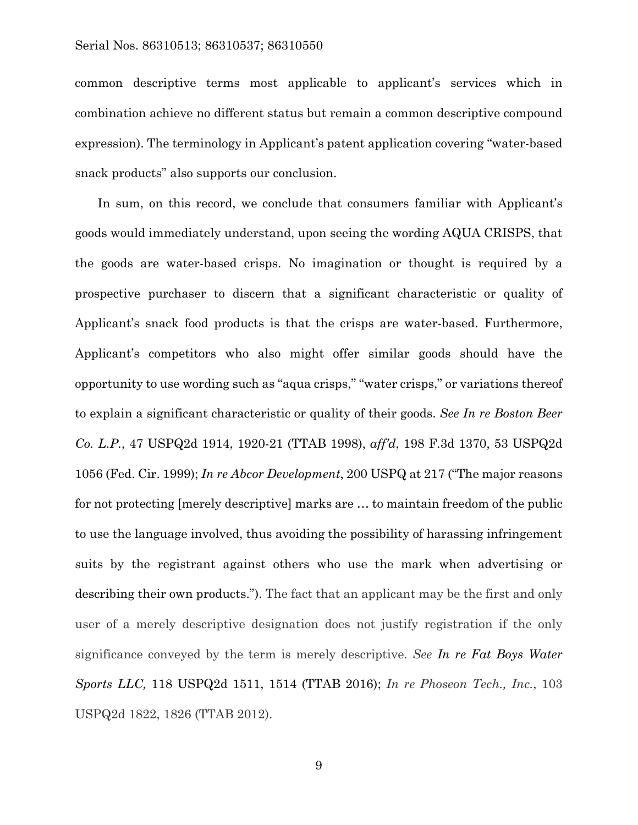### Serial Nos. 86310513; 86310537; 86310550

common descriptive terms most applicable to applicant's services which in combination achieve no different status but remain a common descriptive compound expression). The terminology in Applicant's patent application covering "water-based snack products" also supports our conclusion.

In sum, on this record, we conclude that consumers familiar with Applicant's goods would immediately understand, upon seeing the wording AQUA CRISPS, that the goods are water-based crisps. No imagination or thought is required by a prospective purchaser to discern that a significant characteristic or quality of Applicant's snack food products is that the crisps are water-based. Furthermore, Applicant's competitors who also might offer similar goods should have the opportunity to use wording such as "aqua crisps," "water crisps," or variations thereof to explain a significant characteristic or quality of their goods. *See In re Boston Beer Co. L.P.*, 47 USPQ2d 1914, 1920-21 (TTAB 1998), *aff'd*, 198 F.3d 1370, 53 USPQ2d 1056 (Fed. Cir. 1999); *In re Abcor Development*, 200 USPQ at 217 ("The major reasons for not protecting [merely descriptive] marks are … to maintain freedom of the public to use the language involved, thus avoiding the possibility of harassing infringement suits by the registrant against others who use the mark when advertising or describing their own products."). The fact that an applicant may be the first and only user of a merely descriptive designation does not justify registration if the only significance conveyed by the term is merely descriptive. *See In re Fat Boys Water Sports LLC,* 118 USPQ2d 1511, 1514 (TTAB 2016); *In re Phoseon Tech., Inc.*, 103 USPQ2d 1822, 1826 (TTAB 2012).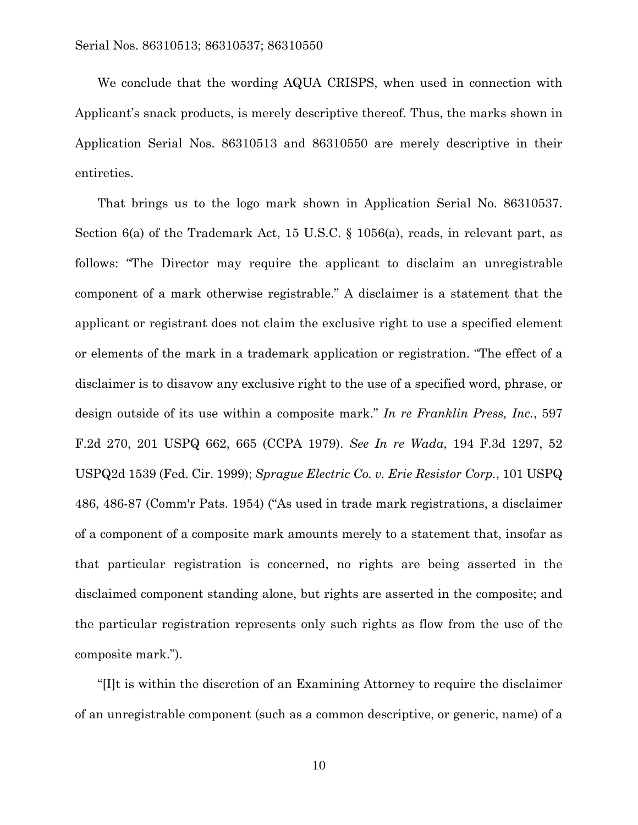We conclude that the wording AQUA CRISPS, when used in connection with Applicant's snack products, is merely descriptive thereof. Thus, the marks shown in Application Serial Nos. 86310513 and 86310550 are merely descriptive in their entireties.

That brings us to the logo mark shown in Application Serial No. 86310537. Section 6(a) of the Trademark Act, 15 U.S.C. § 1056(a), reads, in relevant part, as follows: "The Director may require the applicant to disclaim an unregistrable component of a mark otherwise registrable." A disclaimer is a statement that the applicant or registrant does not claim the exclusive right to use a specified element or elements of the mark in a trademark application or registration. "The effect of a disclaimer is to disavow any exclusive right to the use of a specified word, phrase, or design outside of its use within a composite mark." *In re Franklin Press, Inc.*, 597 F.2d 270, 201 USPQ 662, 665 (CCPA 1979). *See In re Wada*, 194 F.3d 1297, 52 USPQ2d 1539 (Fed. Cir. 1999); *Sprague Electric Co. v. Erie Resistor Corp.*, 101 USPQ 486, 486-87 (Comm'r Pats. 1954) ("As used in trade mark registrations, a disclaimer of a component of a composite mark amounts merely to a statement that, insofar as that particular registration is concerned, no rights are being asserted in the disclaimed component standing alone, but rights are asserted in the composite; and the particular registration represents only such rights as flow from the use of the composite mark.").

"[I]t is within the discretion of an Examining Attorney to require the disclaimer of an unregistrable component (such as a common descriptive, or generic, name) of a